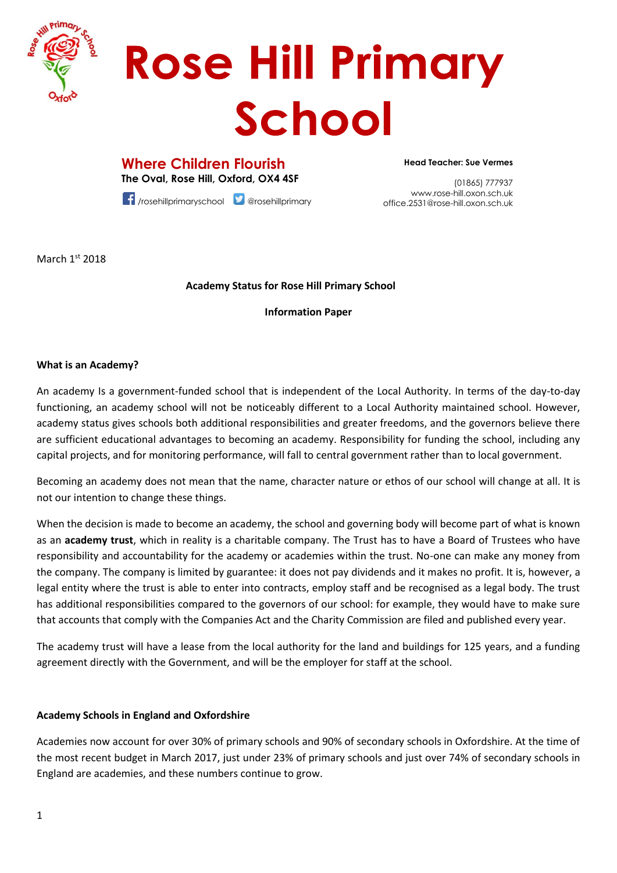

# **Rose Hill Primary** School

**Where Children Flourish The Oval, Rose Hill, Oxford, OX4 4SF**

office.2531@rose-hill.oxon.sch.uk<br>office.2531@rose-hill.oxon.sch.uk /rosehillprimaryschool @rosehillprimary

**Head Teacher: Sue Vermes**

(01865) 777937 www.rose-hill.oxon.sch.uk

March 1st 2018

## **Academy Status for Rose Hill Primary School**

**Information Paper**

#### **What is an Academy?**

An academy Is a government-funded school that is independent of the Local Authority. In terms of the day-to-day functioning, an academy school will not be noticeably different to a Local Authority maintained school. However, academy status gives schools both additional responsibilities and greater freedoms, and the governors believe there are sufficient educational advantages to becoming an academy. Responsibility for funding the school, including any capital projects, and for monitoring performance, will fall to central government rather than to local government.

Becoming an academy does not mean that the name, character nature or ethos of our school will change at all. It is not our intention to change these things.

When the decision is made to become an academy, the school and governing body will become part of what is known as an **academy trust**, which in reality is a charitable company. The Trust has to have a Board of Trustees who have responsibility and accountability for the academy or academies within the trust. No-one can make any money from the company. The company is limited by guarantee: it does not pay dividends and it makes no profit. It is, however, a legal entity where the trust is able to enter into contracts, employ staff and be recognised as a legal body. The trust has additional responsibilities compared to the governors of our school: for example, they would have to make sure that accounts that comply with the Companies Act and the Charity Commission are filed and published every year.

The academy trust will have a lease from the local authority for the land and buildings for 125 years, and a funding agreement directly with the Government, and will be the employer for staff at the school.

## **Academy Schools in England and Oxfordshire**

Academies now account for over 30% of primary schools and 90% of secondary schools in Oxfordshire. At the time of the most recent budget in March 2017, just under 23% of primary schools and just over 74% of secondary schools in England are academies, and these numbers continue to grow.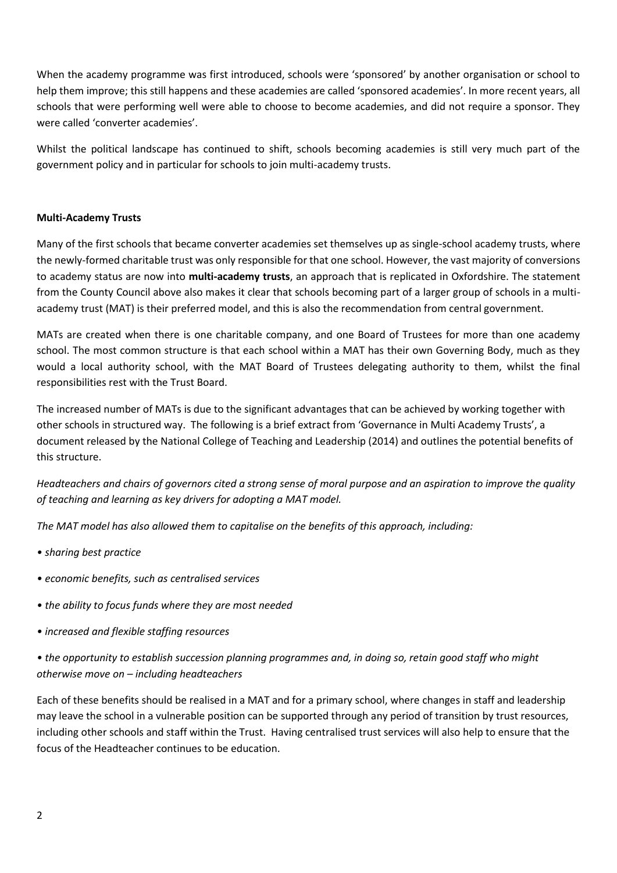When the academy programme was first introduced, schools were 'sponsored' by another organisation or school to help them improve; this still happens and these academies are called 'sponsored academies'. In more recent years, all schools that were performing well were able to choose to become academies, and did not require a sponsor. They were called 'converter academies'.

Whilst the political landscape has continued to shift, schools becoming academies is still very much part of the government policy and in particular for schools to join multi-academy trusts.

#### **Multi-Academy Trusts**

Many of the first schools that became converter academies set themselves up as single-school academy trusts, where the newly-formed charitable trust was only responsible for that one school. However, the vast majority of conversions to academy status are now into **multi-academy trusts**, an approach that is replicated in Oxfordshire. The statement from the County Council above also makes it clear that schools becoming part of a larger group of schools in a multiacademy trust (MAT) is their preferred model, and this is also the recommendation from central government.

MATs are created when there is one charitable company, and one Board of Trustees for more than one academy school. The most common structure is that each school within a MAT has their own Governing Body, much as they would a local authority school, with the MAT Board of Trustees delegating authority to them, whilst the final responsibilities rest with the Trust Board.

The increased number of MATs is due to the significant advantages that can be achieved by working together with other schools in structured way. The following is a brief extract from 'Governance in Multi Academy Trusts', a document released by the National College of Teaching and Leadership (2014) and outlines the potential benefits of this structure.

*Headteachers and chairs of governors cited a strong sense of moral purpose and an aspiration to improve the quality of teaching and learning as key drivers for adopting a MAT model.* 

*The MAT model has also allowed them to capitalise on the benefits of this approach, including:* 

- *sharing best practice*
- *economic benefits, such as centralised services*
- *the ability to focus funds where they are most needed*
- *increased and flexible staffing resources*
- *the opportunity to establish succession planning programmes and, in doing so, retain good staff who might otherwise move on – including headteachers*

Each of these benefits should be realised in a MAT and for a primary school, where changes in staff and leadership may leave the school in a vulnerable position can be supported through any period of transition by trust resources, including other schools and staff within the Trust. Having centralised trust services will also help to ensure that the focus of the Headteacher continues to be education.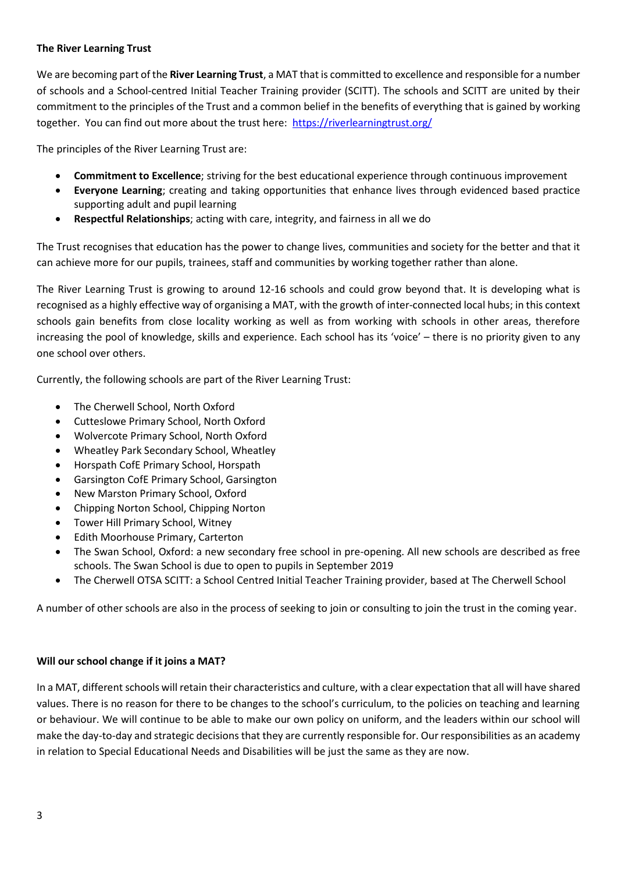## **The River Learning Trust**

We are becoming part of the **River Learning Trust**, a MAT that is committed to excellence and responsible for a number of schools and a School-centred Initial Teacher Training provider (SCITT). The schools and SCITT are united by their commitment to the principles of the Trust and a common belief in the benefits of everything that is gained by working together. You can find out more about the trust here: <https://riverlearningtrust.org/>

The principles of the River Learning Trust are:

- **Commitment to Excellence**; striving for the best educational experience through continuous improvement
- **Everyone Learning**; creating and taking opportunities that enhance lives through evidenced based practice supporting adult and pupil learning
- **Respectful Relationships**; acting with care, integrity, and fairness in all we do

The Trust recognises that education has the power to change lives, communities and society for the better and that it can achieve more for our pupils, trainees, staff and communities by working together rather than alone.

The River Learning Trust is growing to around 12-16 schools and could grow beyond that. It is developing what is recognised as a highly effective way of organising a MAT, with the growth of inter-connected local hubs; in this context schools gain benefits from close locality working as well as from working with schools in other areas, therefore increasing the pool of knowledge, skills and experience. Each school has its 'voice' – there is no priority given to any one school over others.

Currently, the following schools are part of the River Learning Trust:

- The Cherwell School, North Oxford
- Cutteslowe Primary School, North Oxford
- Wolvercote Primary School, North Oxford
- Wheatley Park Secondary School, Wheatley
- Horspath CofE Primary School, Horspath
- Garsington CofE Primary School, Garsington
- New Marston Primary School, Oxford
- Chipping Norton School, Chipping Norton
- Tower Hill Primary School, Witney
- Edith Moorhouse Primary, Carterton
- The Swan School, Oxford: a new secondary free school in pre-opening. All new schools are described as free schools. The Swan School is due to open to pupils in September 2019
- The Cherwell OTSA SCITT: a School Centred Initial Teacher Training provider, based at The Cherwell School

A number of other schools are also in the process of seeking to join or consulting to join the trust in the coming year.

## **Will our school change if it joins a MAT?**

In a MAT, different schools will retain their characteristics and culture, with a clear expectation that all will have shared values. There is no reason for there to be changes to the school's curriculum, to the policies on teaching and learning or behaviour. We will continue to be able to make our own policy on uniform, and the leaders within our school will make the day-to-day and strategic decisions that they are currently responsible for. Our responsibilities as an academy in relation to Special Educational Needs and Disabilities will be just the same as they are now.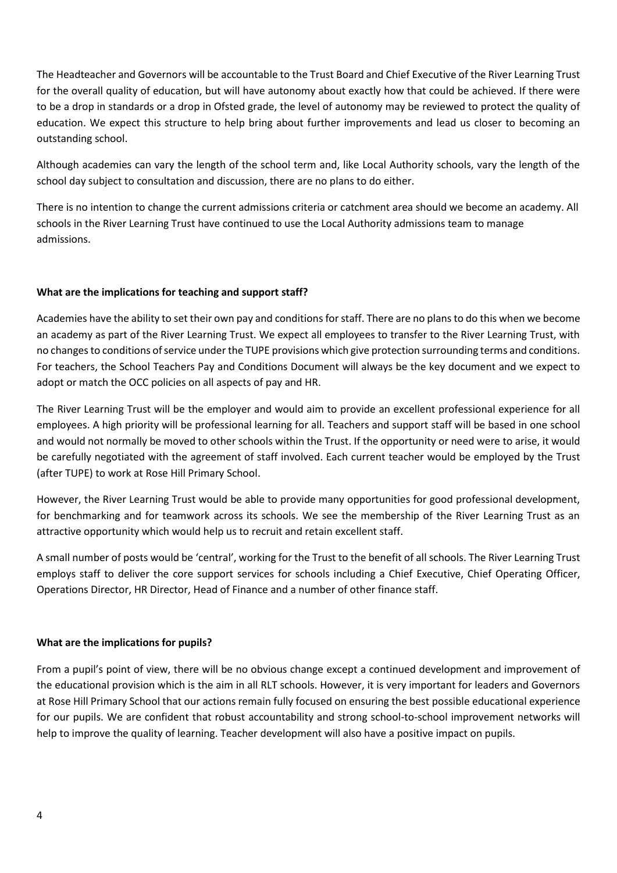The Headteacher and Governors will be accountable to the Trust Board and Chief Executive of the River Learning Trust for the overall quality of education, but will have autonomy about exactly how that could be achieved. If there were to be a drop in standards or a drop in Ofsted grade, the level of autonomy may be reviewed to protect the quality of education. We expect this structure to help bring about further improvements and lead us closer to becoming an outstanding school.

Although academies can vary the length of the school term and, like Local Authority schools, vary the length of the school day subject to consultation and discussion, there are no plans to do either.

There is no intention to change the current admissions criteria or catchment area should we become an academy. All schools in the River Learning Trust have continued to use the Local Authority admissions team to manage admissions.

## **What are the implications for teaching and support staff?**

Academies have the ability to set their own pay and conditions for staff. There are no plans to do this when we become an academy as part of the River Learning Trust. We expect all employees to transfer to the River Learning Trust, with no changes to conditions of service under the TUPE provisions which give protection surrounding terms and conditions. For teachers, the School Teachers Pay and Conditions Document will always be the key document and we expect to adopt or match the OCC policies on all aspects of pay and HR.

The River Learning Trust will be the employer and would aim to provide an excellent professional experience for all employees. A high priority will be professional learning for all. Teachers and support staff will be based in one school and would not normally be moved to other schools within the Trust. If the opportunity or need were to arise, it would be carefully negotiated with the agreement of staff involved. Each current teacher would be employed by the Trust (after TUPE) to work at Rose Hill Primary School.

However, the River Learning Trust would be able to provide many opportunities for good professional development, for benchmarking and for teamwork across its schools. We see the membership of the River Learning Trust as an attractive opportunity which would help us to recruit and retain excellent staff.

A small number of posts would be 'central', working for the Trust to the benefit of all schools. The River Learning Trust employs staff to deliver the core support services for schools including a Chief Executive, Chief Operating Officer, Operations Director, HR Director, Head of Finance and a number of other finance staff.

## **What are the implications for pupils?**

From a pupil's point of view, there will be no obvious change except a continued development and improvement of the educational provision which is the aim in all RLT schools. However, it is very important for leaders and Governors at Rose Hill Primary School that our actions remain fully focused on ensuring the best possible educational experience for our pupils. We are confident that robust accountability and strong school-to-school improvement networks will help to improve the quality of learning. Teacher development will also have a positive impact on pupils.